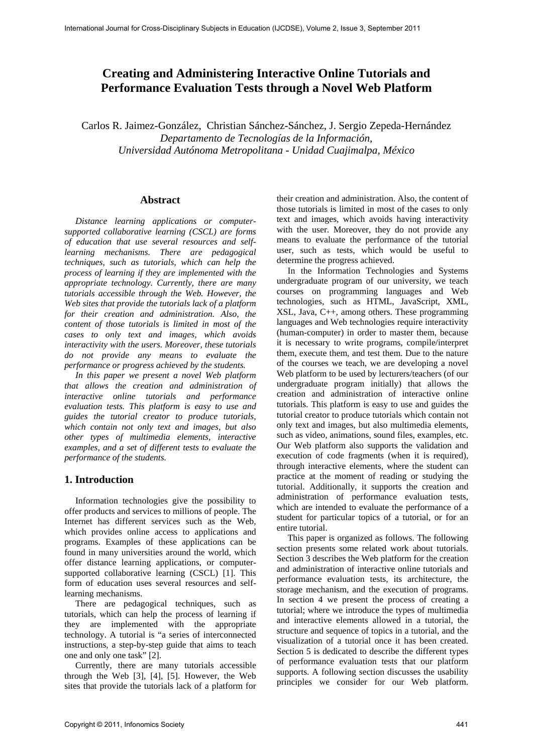# **Creating and Administering Interactive Online Tutorials and Performance Evaluation Tests through a Novel Web Platform**

Carlos R. Jaimez-González, Christian Sánchez-Sánchez, J. Sergio Zepeda-Hernández *Departamento de Tecnologías de la Información, Universidad Autónoma Metropolitana - Unidad Cuajimalpa, México* 

# **Abstract**

*Distance learning applications or computersupported collaborative learning (CSCL) are forms of education that use several resources and selflearning mechanisms. There are pedagogical techniques, such as tutorials, which can help the process of learning if they are implemented with the appropriate technology. Currently, there are many tutorials accessible through the Web. However, the Web sites that provide the tutorials lack of a platform for their creation and administration. Also, the content of those tutorials is limited in most of the cases to only text and images, which avoids interactivity with the users. Moreover, these tutorials do not provide any means to evaluate the performance or progress achieved by the students.* 

*In this paper we present a novel Web platform that allows the creation and administration of interactive online tutorials and performance evaluation tests. This platform is easy to use and guides the tutorial creator to produce tutorials, which contain not only text and images, but also other types of multimedia elements, interactive examples, and a set of different tests to evaluate the performance of the students.* 

# **1. Introduction**

Information technologies give the possibility to offer products and services to millions of people. The Internet has different services such as the Web, which provides online access to applications and programs. Examples of these applications can be found in many universities around the world, which offer distance learning applications, or computersupported collaborative learning (CSCL) [1]. This form of education uses several resources and selflearning mechanisms.

There are pedagogical techniques, such as tutorials, which can help the process of learning if they are implemented with the appropriate technology. A tutorial is "a series of interconnected instructions, a step-by-step guide that aims to teach one and only one task" [2].

Currently, there are many tutorials accessible through the Web [3], [4], [5]. However, the Web sites that provide the tutorials lack of a platform for

their creation and administration. Also, the content of those tutorials is limited in most of the cases to only text and images, which avoids having interactivity with the user. Moreover, they do not provide any means to evaluate the performance of the tutorial user, such as tests, which would be useful to determine the progress achieved.

In the Information Technologies and Systems undergraduate program of our university, we teach courses on programming languages and Web technologies, such as HTML, JavaScript, XML, XSL, Java, C++, among others. These programming languages and Web technologies require interactivity (human-computer) in order to master them, because it is necessary to write programs, compile/interpret them, execute them, and test them. Due to the nature of the courses we teach, we are developing a novel Web platform to be used by lecturers/teachers (of our undergraduate program initially) that allows the creation and administration of interactive online tutorials. This platform is easy to use and guides the tutorial creator to produce tutorials which contain not only text and images, but also multimedia elements, such as video, animations, sound files, examples, etc. Our Web platform also supports the validation and execution of code fragments (when it is required), through interactive elements, where the student can practice at the moment of reading or studying the tutorial. Additionally, it supports the creation and administration of performance evaluation tests, which are intended to evaluate the performance of a student for particular topics of a tutorial, or for an entire tutorial.

This paper is organized as follows. The following section presents some related work about tutorials. Section 3 describes the Web platform for the creation and administration of interactive online tutorials and performance evaluation tests, its architecture, the storage mechanism, and the execution of programs. In section 4 we present the process of creating a tutorial; where we introduce the types of multimedia and interactive elements allowed in a tutorial, the structure and sequence of topics in a tutorial, and the visualization of a tutorial once it has been created. Section 5 is dedicated to describe the different types of performance evaluation tests that our platform supports. A following section discusses the usability principles we consider for our Web platform.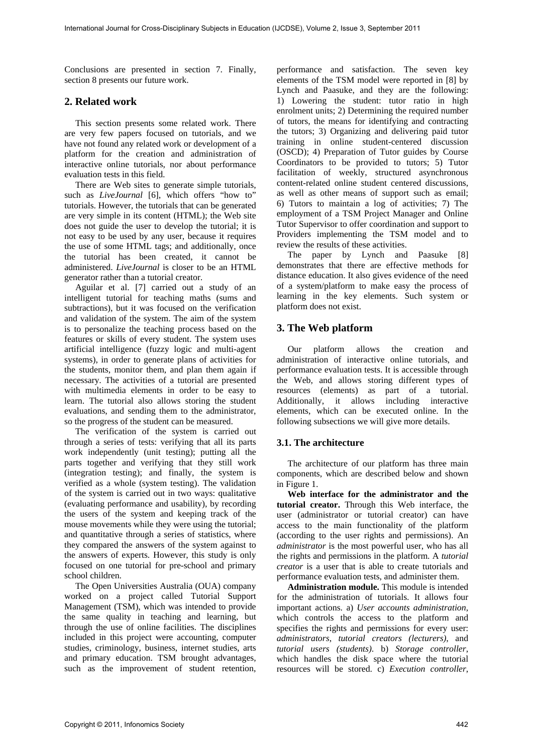Conclusions are presented in section 7. Finally, section 8 presents our future work.

# **2. Related work**

This section presents some related work. There are very few papers focused on tutorials, and we have not found any related work or development of a platform for the creation and administration of interactive online tutorials, nor about performance evaluation tests in this field.

There are Web sites to generate simple tutorials, such as *LiveJournal* [6], which offers "how to" tutorials. However, the tutorials that can be generated are very simple in its content (HTML); the Web site does not guide the user to develop the tutorial; it is not easy to be used by any user, because it requires the use of some HTML tags; and additionally, once the tutorial has been created, it cannot be administered. *LiveJournal* is closer to be an HTML generator rather than a tutorial creator.

Aguilar et al. [7] carried out a study of an intelligent tutorial for teaching maths (sums and subtractions), but it was focused on the verification and validation of the system. The aim of the system is to personalize the teaching process based on the features or skills of every student. The system uses artificial intelligence (fuzzy logic and multi-agent systems), in order to generate plans of activities for the students, monitor them, and plan them again if necessary. The activities of a tutorial are presented with multimedia elements in order to be easy to learn. The tutorial also allows storing the student evaluations, and sending them to the administrator, so the progress of the student can be measured.

The verification of the system is carried out through a series of tests: verifying that all its parts work independently (unit testing); putting all the parts together and verifying that they still work (integration testing); and finally, the system is verified as a whole (system testing). The validation of the system is carried out in two ways: qualitative (evaluating performance and usability), by recording the users of the system and keeping track of the mouse movements while they were using the tutorial; and quantitative through a series of statistics, where they compared the answers of the system against to the answers of experts. However, this study is only focused on one tutorial for pre-school and primary school children.

The Open Universities Australia (OUA) company worked on a project called Tutorial Support Management (TSM), which was intended to provide the same quality in teaching and learning, but through the use of online facilities. The disciplines included in this project were accounting, computer studies, criminology, business, internet studies, arts and primary education. TSM brought advantages, such as the improvement of student retention,

performance and satisfaction. The seven key elements of the TSM model were reported in [8] by Lynch and Paasuke, and they are the following: 1) Lowering the student: tutor ratio in high enrolment units; 2) Determining the required number of tutors, the means for identifying and contracting the tutors; 3) Organizing and delivering paid tutor training in online student-centered discussion (OSCD); 4) Preparation of Tutor guides by Course Coordinators to be provided to tutors; 5) Tutor facilitation of weekly, structured asynchronous content-related online student centered discussions, as well as other means of support such as email; 6) Tutors to maintain a log of activities; 7) The employment of a TSM Project Manager and Online Tutor Supervisor to offer coordination and support to Providers implementing the TSM model and to review the results of these activities.

The paper by Lynch and Paasuke [8] demonstrates that there are effective methods for distance education. It also gives evidence of the need of a system/platform to make easy the process of learning in the key elements. Such system or platform does not exist.

# **3. The Web platform**

Our platform allows the creation and administration of interactive online tutorials, and performance evaluation tests. It is accessible through the Web, and allows storing different types of resources (elements) as part of a tutorial. Additionally, it allows including interactive elements, which can be executed online. In the following subsections we will give more details.

# **3.1. The architecture**

The architecture of our platform has three main components, which are described below and shown in Figure 1.

**Web interface for the administrator and the tutorial creator.** Through this Web interface, the user (administrator or tutorial creator) can have access to the main functionality of the platform (according to the user rights and permissions). An *administrator* is the most powerful user, who has all the rights and permissions in the platform. A *tutorial creator* is a user that is able to create tutorials and performance evaluation tests, and administer them.

**Administration module.** This module is intended for the administration of tutorials. It allows four important actions. a) *User accounts administration*, which controls the access to the platform and specifies the rights and permissions for every user: *administrators*, *tutorial creators (lecturers)*, and *tutorial users (students)*. b) *Storage controller*, which handles the disk space where the tutorial resources will be stored. c) *Execution controller*,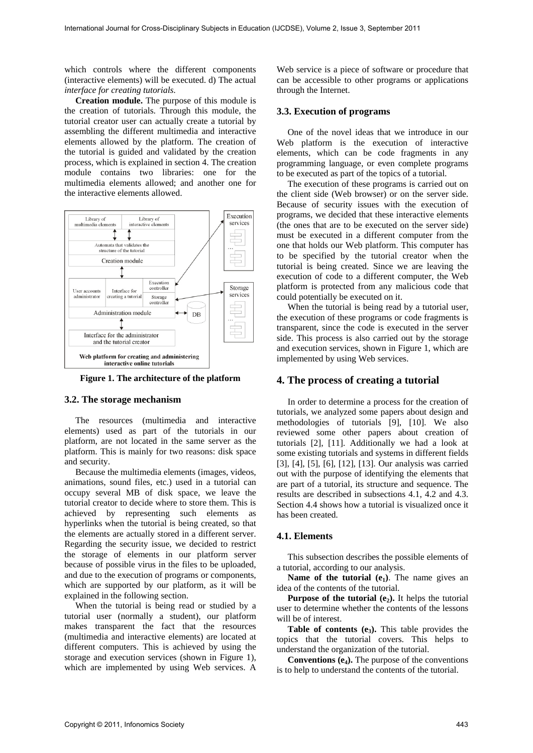which controls where the different components (interactive elements) will be executed. d) The actual *interface for creating tutorials*.

**Creation module.** The purpose of this module is the creation of tutorials. Through this module, the tutorial creator user can actually create a tutorial by assembling the different multimedia and interactive elements allowed by the platform. The creation of the tutorial is guided and validated by the creation process, which is explained in section 4. The creation module contains two libraries: one for the multimedia elements allowed; and another one for the interactive elements allowed.



**Figure 1. The architecture of the platform** 

#### **3.2. The storage mechanism**

The resources (multimedia and interactive elements) used as part of the tutorials in our platform, are not located in the same server as the platform. This is mainly for two reasons: disk space and security.

Because the multimedia elements (images, videos, animations, sound files, etc.) used in a tutorial can occupy several MB of disk space, we leave the tutorial creator to decide where to store them. This is achieved by representing such elements as hyperlinks when the tutorial is being created, so that the elements are actually stored in a different server. Regarding the security issue, we decided to restrict the storage of elements in our platform server because of possible virus in the files to be uploaded, and due to the execution of programs or components, which are supported by our platform, as it will be explained in the following section.

When the tutorial is being read or studied by a tutorial user (normally a student), our platform makes transparent the fact that the resources (multimedia and interactive elements) are located at different computers. This is achieved by using the storage and execution services (shown in Figure 1), which are implemented by using Web services. A

Web service is a piece of software or procedure that can be accessible to other programs or applications through the Internet.

## **3.3. Execution of programs**

One of the novel ideas that we introduce in our Web platform is the execution of interactive elements, which can be code fragments in any programming language, or even complete programs to be executed as part of the topics of a tutorial.

The execution of these programs is carried out on the client side (Web browser) or on the server side. Because of security issues with the execution of programs, we decided that these interactive elements (the ones that are to be executed on the server side) must be executed in a different computer from the one that holds our Web platform. This computer has to be specified by the tutorial creator when the tutorial is being created. Since we are leaving the execution of code to a different computer, the Web platform is protected from any malicious code that could potentially be executed on it.

When the tutorial is being read by a tutorial user, the execution of these programs or code fragments is transparent, since the code is executed in the server side. This process is also carried out by the storage and execution services, shown in Figure 1, which are implemented by using Web services.

#### **4. The process of creating a tutorial**

In order to determine a process for the creation of tutorials, we analyzed some papers about design and methodologies of tutorials [9], [10]. We also reviewed some other papers about creation of tutorials [2], [11]. Additionally we had a look at some existing tutorials and systems in different fields [3], [4], [5], [6], [12], [13]. Our analysis was carried out with the purpose of identifying the elements that are part of a tutorial, its structure and sequence. The results are described in subsections 4.1, 4.2 and 4.3. Section 4.4 shows how a tutorial is visualized once it has been created.

## **4.1. Elements**

This subsection describes the possible elements of a tutorial, according to our analysis.

**Name of the tutorial**  $(e_1)$ . The name gives an idea of the contents of the tutorial.

**Purpose of the tutorial**  $(e_2)$ **.** It helps the tutorial user to determine whether the contents of the lessons will be of interest.

Table of contents (e<sub>3</sub>). This table provides the topics that the tutorial covers. This helps to understand the organization of the tutorial.

**Conventions**  $(e_4)$ **.** The purpose of the conventions is to help to understand the contents of the tutorial.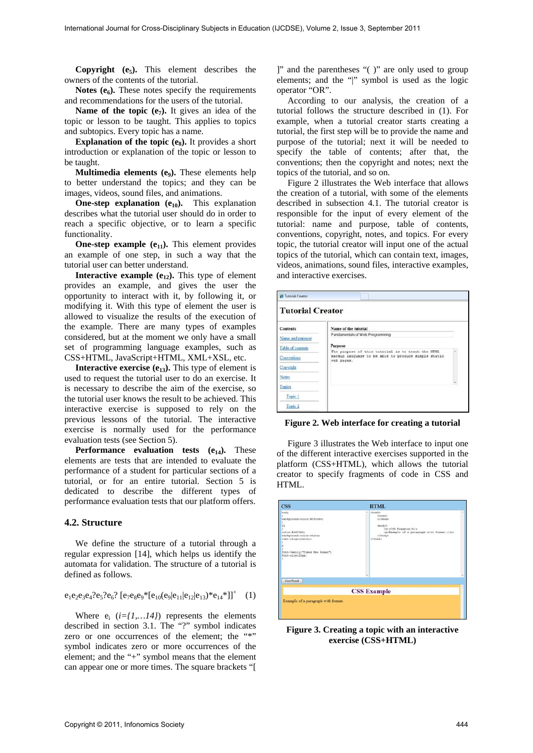**Copyright**  $(e_5)$ . This element describes the owners of the contents of the tutorial.

**Notes**  $(e_6)$ . These notes specify the requirements and recommendations for the users of the tutorial.

**Name of the topic**  $(e_7)$ **.** It gives an idea of the topic or lesson to be taught. This applies to topics and subtopics. Every topic has a name.

**Explanation of the topic (eg).** It provides a short introduction or explanation of the topic or lesson to be taught.

**Multimedia elements (e<sub>9</sub>).** These elements help to better understand the topics; and they can be images, videos, sound files, and animations.

**One-step explanation**  $(e_{10})$ **.** This explanation describes what the tutorial user should do in order to reach a specific objective, or to learn a specific functionality.

**One-step example**  $(e_{11})$ **.** This element provides an example of one step, in such a way that the tutorial user can better understand.

**Interactive example**  $(e_{12})$ **.** This type of element provides an example, and gives the user the opportunity to interact with it, by following it, or modifying it. With this type of element the user is allowed to visualize the results of the execution of the example. There are many types of examples considered, but at the moment we only have a small set of programming language examples, such as CSS+HTML, JavaScript+HTML, XML+XSL, etc.

**Interactive exercise**  $(e_{13})$ **. This type of element is** used to request the tutorial user to do an exercise. It is necessary to describe the aim of the exercise, so the tutorial user knows the result to be achieved. This interactive exercise is supposed to rely on the previous lessons of the tutorial. The interactive exercise is normally used for the performance evaluation tests (see Section 5).

**Performance evaluation tests (e<sub>14</sub>).** These elements are tests that are intended to evaluate the performance of a student for particular sections of a tutorial, or for an entire tutorial. Section 5 is dedicated to describe the different types of performance evaluation tests that our platform offers.

# **4.2. Structure**

We define the structure of a tutorial through a regular expression [14], which helps us identify the automata for validation. The structure of a tutorial is defined as follows.

# $e_1e_2e_3e_4?e_5?e_6? [e_7e_8e_9* [e_{10}(e_9|e_{11}|e_{12}|e_{13})*e_{14}*]]^+$  (1)

Where  $e_i$  ( $i = \{1, \ldots 14\}$ ) represents the elements described in section 3.1. The "?" symbol indicates zero or one occurrences of the element; the "\*" symbol indicates zero or more occurrences of the element; and the "+" symbol means that the element can appear one or more times. The square brackets "[

]" and the parentheses "( )" are only used to group elements; and the "|" symbol is used as the logic operator "OR".

According to our analysis, the creation of a tutorial follows the structure described in (1). For example, when a tutorial creator starts creating a tutorial, the first step will be to provide the name and purpose of the tutorial; next it will be needed to specify the table of contents; after that, the conventions; then the copyright and notes; next the topics of the tutorial, and so on.

Figure 2 illustrates the Web interface that allows the creation of a tutorial, with some of the elements described in subsection 4.1. The tutorial creator is responsible for the input of every element of the tutorial: name and purpose, table of contents, conventions, copyright, notes, and topics. For every topic, the tutorial creator will input one of the actual topics of the tutorial, which can contain text, images, videos, animations, sound files, interactive examples, and interactive exercises.

| <b>Contents</b>    | Name of the tutorial                                              |  |
|--------------------|-------------------------------------------------------------------|--|
| Name and purpose   | Fundamentals of Web Programming                                   |  |
|                    | Purpose                                                           |  |
| Table of contents  | The purpose of this tutorial is to teach the HTML                 |  |
| Conventions        | markup language to be able to produce simple static<br>web pages. |  |
| Copyright          |                                                                   |  |
| <b>Notes</b>       |                                                                   |  |
| Topics             |                                                                   |  |
|                    |                                                                   |  |
| Topic 1            |                                                                   |  |
| Topic <sub>2</sub> |                                                                   |  |

**Figure 2. Web interface for creating a tutorial** 

Figure 3 illustrates the Web interface to input one of the different interactive exercises supported in the platform (CSS+HTML), which allows the tutorial creator to specify fragments of code in CSS and HTML.

| chtml><br>۰                                                                                  |
|----------------------------------------------------------------------------------------------|
| chead><br><br><br>body><br>chi>C33 Example<br>cp>Example of a paragraph with format.c/p><br> |
|                                                                                              |
| ×<br><b>CSS Example</b>                                                                      |
|                                                                                              |
|                                                                                              |

**Figure 3. Creating a topic with an interactive exercise (CSS+HTML)**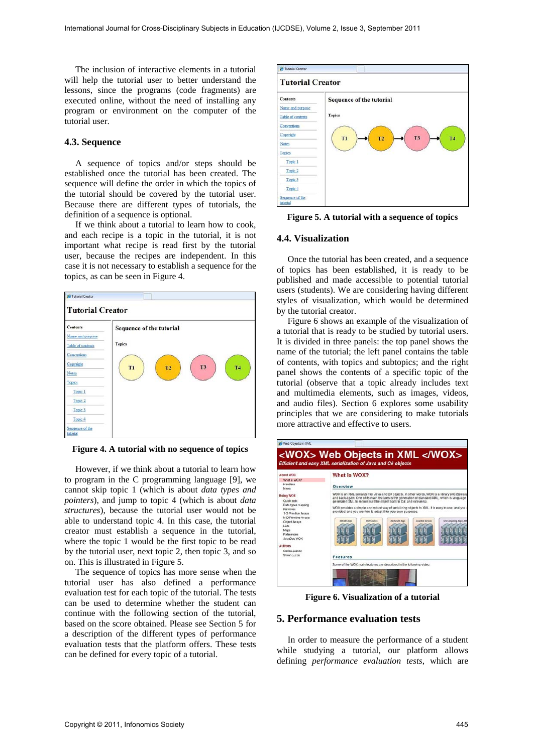The inclusion of interactive elements in a tutorial will help the tutorial user to better understand the lessons, since the programs (code fragments) are executed online, without the need of installing any program or environment on the computer of the tutorial user.

#### **4.3. Sequence**

A sequence of topics and/or steps should be established once the tutorial has been created. The sequence will define the order in which the topics of the tutorial should be covered by the tutorial user. Because there are different types of tutorials, the definition of a sequence is optional.

If we think about a tutorial to learn how to cook, and each recipe is a topic in the tutorial, it is not important what recipe is read first by the tutorial user, because the recipes are independent. In this case it is not necessary to establish a sequence for the topics, as can be seen in Figure 4.



**Figure 4. A tutorial with no sequence of topics** 

However, if we think about a tutorial to learn how to program in the C programming language [9], we cannot skip topic 1 (which is about *data types and pointers*), and jump to topic 4 (which is about *data structures*), because the tutorial user would not be able to understand topic 4. In this case, the tutorial creator must establish a sequence in the tutorial, where the topic 1 would be the first topic to be read by the tutorial user, next topic 2, then topic 3, and so on. This is illustrated in Figure 5.

The sequence of topics has more sense when the tutorial user has also defined a performance evaluation test for each topic of the tutorial. The tests can be used to determine whether the student can continue with the following section of the tutorial, based on the score obtained. Please see Section 5 for a description of the different types of performance evaluation tests that the platform offers. These tests can be defined for every topic of a tutorial.



**Figure 5. A tutorial with a sequence of topics** 

#### **4.4. Visualization**

Once the tutorial has been created, and a sequence of topics has been established, it is ready to be published and made accessible to potential tutorial users (students). We are considering having different styles of visualization, which would be determined by the tutorial creator.

Figure 6 shows an example of the visualization of a tutorial that is ready to be studied by tutorial users. It is divided in three panels: the top panel shows the name of the tutorial; the left panel contains the table of contents, with topics and subtopics; and the right panel shows the contents of a specific topic of the tutorial (observe that a topic already includes text and multimedia elements, such as images, videos, and audio files). Section 6 explores some usability principles that we are considering to make tutorials more attractive and effective to users.

| <b>About WOX</b><br>What is WOX?<br>Handlers.<br>News<br>Using WOX<br>Quick look<br>Data types mapping<br><b>Printing</b><br>1-D Printfor Arrays<br>N-D Printive Arrays<br>Object Arrays<br>Lists<br>Maps<br>Reterences<br>JavaDoc WOX<br><b>Authors</b><br>Carbs Jamez<br>Simon Lucian | What is WOX?<br>Overview                                                                                                                                                                                                                                                                                                                                                                                                                                                                                                                                                                                                                          |
|-----------------------------------------------------------------------------------------------------------------------------------------------------------------------------------------------------------------------------------------------------------------------------------------|---------------------------------------------------------------------------------------------------------------------------------------------------------------------------------------------------------------------------------------------------------------------------------------------------------------------------------------------------------------------------------------------------------------------------------------------------------------------------------------------------------------------------------------------------------------------------------------------------------------------------------------------------|
|                                                                                                                                                                                                                                                                                         | WOX is an XML senalizer for Java and C# objects. In other words, WOX is a library (woxSenaliz<br>and back again. One of its main features is the generation of standard XML, which is language<br>generated XML to reconstruct the object back to C#; and viceversa.<br>WOX provides a simple and robust way of serializing objects to XML. It is easy to use, and you o<br>provided, and you are free to adapt it for your own purposes.<br><b>Kirkendet Asso</b><br>Java Web Services<br><b>AGPAKT Ages</b><br><b>MCF Sandore</b><br>Grid Computing Apps LMT<br>Features<br>Some of the WOX main features are described in the following video. |

**Figure 6. Visualization of a tutorial** 

#### **5. Performance evaluation tests**

In order to measure the performance of a student while studying a tutorial, our platform allows defining *performance evaluation tests*, which are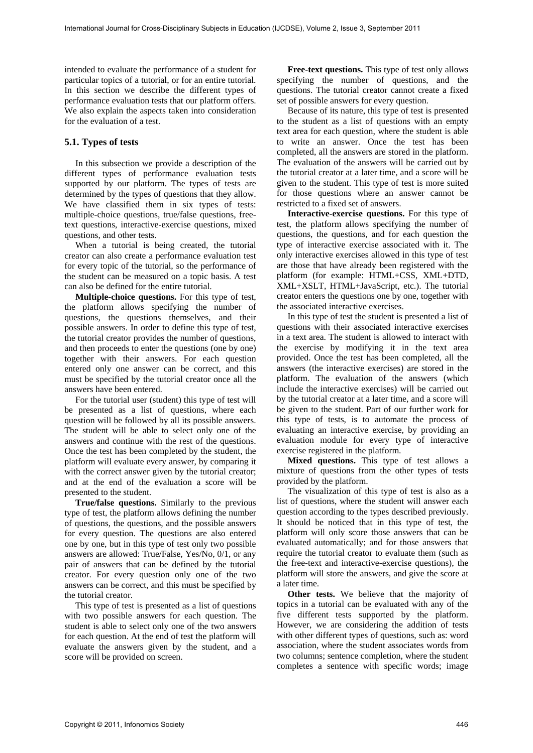intended to evaluate the performance of a student for particular topics of a tutorial, or for an entire tutorial. In this section we describe the different types of performance evaluation tests that our platform offers. We also explain the aspects taken into consideration for the evaluation of a test.

# **5.1. Types of tests**

In this subsection we provide a description of the different types of performance evaluation tests supported by our platform. The types of tests are determined by the types of questions that they allow. We have classified them in six types of tests: multiple-choice questions, true/false questions, freetext questions, interactive-exercise questions, mixed questions, and other tests.

When a tutorial is being created, the tutorial creator can also create a performance evaluation test for every topic of the tutorial, so the performance of the student can be measured on a topic basis. A test can also be defined for the entire tutorial.

**Multiple-choice questions.** For this type of test, the platform allows specifying the number of questions, the questions themselves, and their possible answers. In order to define this type of test, the tutorial creator provides the number of questions, and then proceeds to enter the questions (one by one) together with their answers. For each question entered only one answer can be correct, and this must be specified by the tutorial creator once all the answers have been entered.

For the tutorial user (student) this type of test will be presented as a list of questions, where each question will be followed by all its possible answers. The student will be able to select only one of the answers and continue with the rest of the questions. Once the test has been completed by the student, the platform will evaluate every answer, by comparing it with the correct answer given by the tutorial creator; and at the end of the evaluation a score will be presented to the student.

**True/false questions.** Similarly to the previous type of test, the platform allows defining the number of questions, the questions, and the possible answers for every question. The questions are also entered one by one, but in this type of test only two possible answers are allowed: True/False, Yes/No, 0/1, or any pair of answers that can be defined by the tutorial creator. For every question only one of the two answers can be correct, and this must be specified by the tutorial creator.

This type of test is presented as a list of questions with two possible answers for each question. The student is able to select only one of the two answers for each question. At the end of test the platform will evaluate the answers given by the student, and a score will be provided on screen.

**Free-text questions.** This type of test only allows specifying the number of questions, and the questions. The tutorial creator cannot create a fixed set of possible answers for every question.

Because of its nature, this type of test is presented to the student as a list of questions with an empty text area for each question, where the student is able to write an answer. Once the test has been completed, all the answers are stored in the platform. The evaluation of the answers will be carried out by the tutorial creator at a later time, and a score will be given to the student. This type of test is more suited for those questions where an answer cannot be restricted to a fixed set of answers.

**Interactive-exercise questions.** For this type of test, the platform allows specifying the number of questions, the questions, and for each question the type of interactive exercise associated with it. The only interactive exercises allowed in this type of test are those that have already been registered with the platform (for example: HTML+CSS, XML+DTD, XML+XSLT, HTML+JavaScript, etc.). The tutorial creator enters the questions one by one, together with the associated interactive exercises.

In this type of test the student is presented a list of questions with their associated interactive exercises in a text area. The student is allowed to interact with the exercise by modifying it in the text area provided. Once the test has been completed, all the answers (the interactive exercises) are stored in the platform. The evaluation of the answers (which include the interactive exercises) will be carried out by the tutorial creator at a later time, and a score will be given to the student. Part of our further work for this type of tests, is to automate the process of evaluating an interactive exercise, by providing an evaluation module for every type of interactive exercise registered in the platform.

**Mixed questions.** This type of test allows a mixture of questions from the other types of tests provided by the platform.

The visualization of this type of test is also as a list of questions, where the student will answer each question according to the types described previously. It should be noticed that in this type of test, the platform will only score those answers that can be evaluated automatically; and for those answers that require the tutorial creator to evaluate them (such as the free-text and interactive-exercise questions), the platform will store the answers, and give the score at a later time.

**Other tests.** We believe that the majority of topics in a tutorial can be evaluated with any of the five different tests supported by the platform. However, we are considering the addition of tests with other different types of questions, such as: word association, where the student associates words from two columns; sentence completion, where the student completes a sentence with specific words; image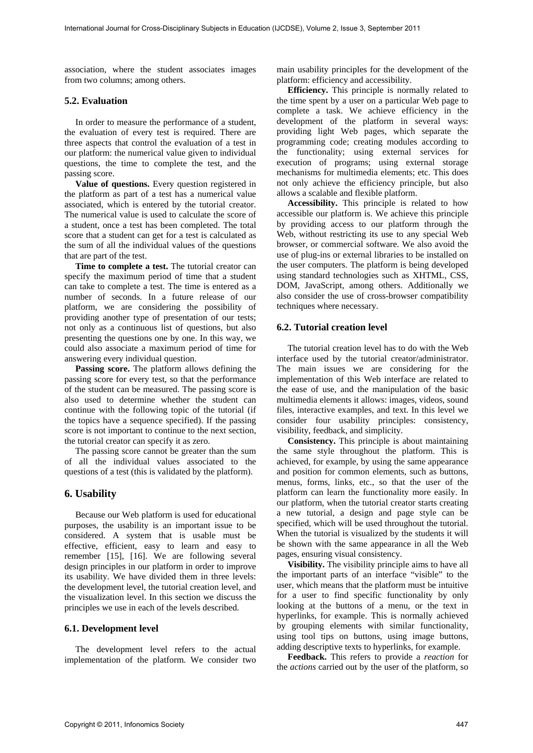association, where the student associates images from two columns; among others.

## **5.2. Evaluation**

In order to measure the performance of a student, the evaluation of every test is required. There are three aspects that control the evaluation of a test in our platform: the numerical value given to individual questions, the time to complete the test, and the passing score.

**Value of questions.** Every question registered in the platform as part of a test has a numerical value associated, which is entered by the tutorial creator. The numerical value is used to calculate the score of a student, once a test has been completed. The total score that a student can get for a test is calculated as the sum of all the individual values of the questions that are part of the test.

**Time to complete a test.** The tutorial creator can specify the maximum period of time that a student can take to complete a test. The time is entered as a number of seconds. In a future release of our platform, we are considering the possibility of providing another type of presentation of our tests; not only as a continuous list of questions, but also presenting the questions one by one. In this way, we could also associate a maximum period of time for answering every individual question.

**Passing score.** The platform allows defining the passing score for every test, so that the performance of the student can be measured. The passing score is also used to determine whether the student can continue with the following topic of the tutorial (if the topics have a sequence specified). If the passing score is not important to continue to the next section, the tutorial creator can specify it as zero.

The passing score cannot be greater than the sum of all the individual values associated to the questions of a test (this is validated by the platform).

# **6. Usability**

Because our Web platform is used for educational purposes, the usability is an important issue to be considered. A system that is usable must be effective, efficient, easy to learn and easy to remember [15], [16]. We are following several design principles in our platform in order to improve its usability. We have divided them in three levels: the development level, the tutorial creation level, and the visualization level. In this section we discuss the principles we use in each of the levels described.

#### **6.1. Development level**

The development level refers to the actual implementation of the platform. We consider two main usability principles for the development of the platform: efficiency and accessibility.

**Efficiency.** This principle is normally related to the time spent by a user on a particular Web page to complete a task. We achieve efficiency in the development of the platform in several ways: providing light Web pages, which separate the programming code; creating modules according to the functionality; using external services for execution of programs; using external storage mechanisms for multimedia elements; etc. This does not only achieve the efficiency principle, but also allows a scalable and flexible platform.

**Accessibility.** This principle is related to how accessible our platform is. We achieve this principle by providing access to our platform through the Web, without restricting its use to any special Web browser, or commercial software. We also avoid the use of plug-ins or external libraries to be installed on the user computers. The platform is being developed using standard technologies such as XHTML, CSS, DOM, JavaScript, among others. Additionally we also consider the use of cross-browser compatibility techniques where necessary.

## **6.2. Tutorial creation level**

The tutorial creation level has to do with the Web interface used by the tutorial creator/administrator. The main issues we are considering for the implementation of this Web interface are related to the ease of use, and the manipulation of the basic multimedia elements it allows: images, videos, sound files, interactive examples, and text. In this level we consider four usability principles: consistency, visibility, feedback, and simplicity.

**Consistency.** This principle is about maintaining the same style throughout the platform. This is achieved, for example, by using the same appearance and position for common elements, such as buttons, menus, forms, links, etc., so that the user of the platform can learn the functionality more easily. In our platform, when the tutorial creator starts creating a new tutorial, a design and page style can be specified, which will be used throughout the tutorial. When the tutorial is visualized by the students it will be shown with the same appearance in all the Web pages, ensuring visual consistency.

**Visibility.** The visibility principle aims to have all the important parts of an interface "visible" to the user, which means that the platform must be intuitive for a user to find specific functionality by only looking at the buttons of a menu, or the text in hyperlinks, for example. This is normally achieved by grouping elements with similar functionality, using tool tips on buttons, using image buttons, adding descriptive texts to hyperlinks, for example.

**Feedback.** This refers to provide a *reaction* for the *actions* carried out by the user of the platform, so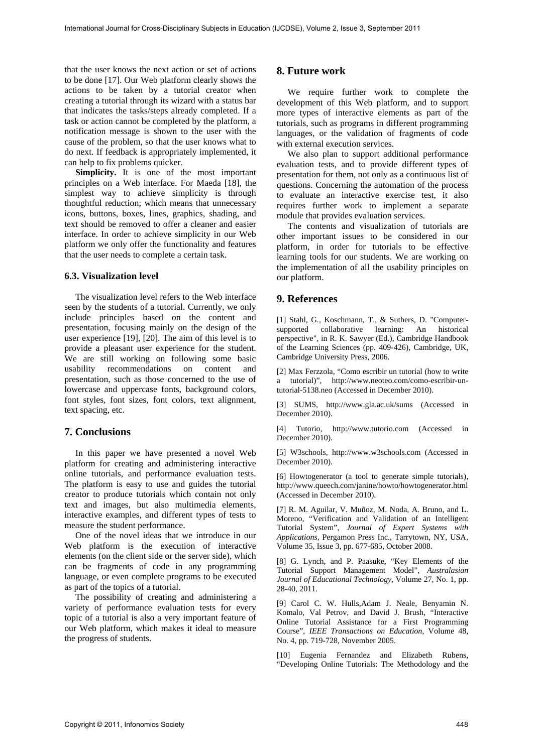that the user knows the next action or set of actions to be done [17]. Our Web platform clearly shows the actions to be taken by a tutorial creator when creating a tutorial through its wizard with a status bar that indicates the tasks/steps already completed. If a task or action cannot be completed by the platform, a notification message is shown to the user with the cause of the problem, so that the user knows what to do next. If feedback is appropriately implemented, it can help to fix problems quicker.

**Simplicity.** It is one of the most important principles on a Web interface. For Maeda [18], the simplest way to achieve simplicity is through thoughtful reduction; which means that unnecessary icons, buttons, boxes, lines, graphics, shading, and text should be removed to offer a cleaner and easier interface. In order to achieve simplicity in our Web platform we only offer the functionality and features that the user needs to complete a certain task.

#### **6.3. Visualization level**

The visualization level refers to the Web interface seen by the students of a tutorial. Currently, we only include principles based on the content and presentation, focusing mainly on the design of the user experience [19], [20]. The aim of this level is to provide a pleasant user experience for the student. We are still working on following some basic usability recommendations on content and presentation, such as those concerned to the use of lowercase and uppercase fonts, background colors, font styles, font sizes, font colors, text alignment, text spacing, etc.

# **7. Conclusions**

In this paper we have presented a novel Web platform for creating and administering interactive online tutorials, and performance evaluation tests. The platform is easy to use and guides the tutorial creator to produce tutorials which contain not only text and images, but also multimedia elements, interactive examples, and different types of tests to measure the student performance.

One of the novel ideas that we introduce in our Web platform is the execution of interactive elements (on the client side or the server side), which can be fragments of code in any programming language, or even complete programs to be executed as part of the topics of a tutorial.

The possibility of creating and administering a variety of performance evaluation tests for every topic of a tutorial is also a very important feature of our Web platform, which makes it ideal to measure the progress of students.

# **8. Future work**

We require further work to complete the development of this Web platform, and to support more types of interactive elements as part of the tutorials, such as programs in different programming languages, or the validation of fragments of code with external execution services.

We also plan to support additional performance evaluation tests, and to provide different types of presentation for them, not only as a continuous list of questions. Concerning the automation of the process to evaluate an interactive exercise test, it also requires further work to implement a separate module that provides evaluation services.

The contents and visualization of tutorials are other important issues to be considered in our platform, in order for tutorials to be effective learning tools for our students. We are working on the implementation of all the usability principles on our platform.

# **9. References**

[1] Stahl, G., Koschmann, T., & Suthers, D. "Computersupported collaborative learning: An historical perspective", in R. K. Sawyer (Ed.), Cambridge Handbook of the Learning Sciences (pp. 409-426), Cambridge, UK, Cambridge University Press, 2006.

[2] Max Ferzzola, "Como escribir un tutorial (how to write a tutorial)", http://www.neoteo.com/como-escribir-untutorial-5138.neo (Accessed in December 2010).

[3] SUMS, http://www.gla.ac.uk/sums (Accessed in December 2010).

[4] Tutorio, http://www.tutorio.com (Accessed in December 2010).

[5] W3schools, http://www.w3schools.com (Accessed in December 2010).

[6] Howtogenerator (a tool to generate simple tutorials), http://www.queech.com/janine/howto/howtogenerator.html (Accessed in December 2010).

[7] R. M. Aguilar, V. Muñoz, M. Noda, A. Bruno, and L. Moreno, "Verification and Validation of an Intelligent Tutorial System", *Journal of Expert Systems with Applications*, Pergamon Press Inc., Tarrytown, NY, USA, Volume 35, Issue 3, pp. 677-685, October 2008.

[8] G. Lynch, and P. Paasuke, "Key Elements of the Tutorial Support Management Model", *Australasian Journal of Educational Technology*, Volume 27, No. 1, pp. 28-40, 2011.

[9] Carol C. W. Hulls,Adam J. Neale, Benyamin N. Komalo, Val Petrov, and David J. Brush, "Interactive Online Tutorial Assistance for a First Programming Course", *IEEE Transactions on Education*, Volume 48, No. 4, pp. 719-728, November 2005.

[10] Eugenia Fernandez and Elizabeth Rubens, "Developing Online Tutorials: The Methodology and the